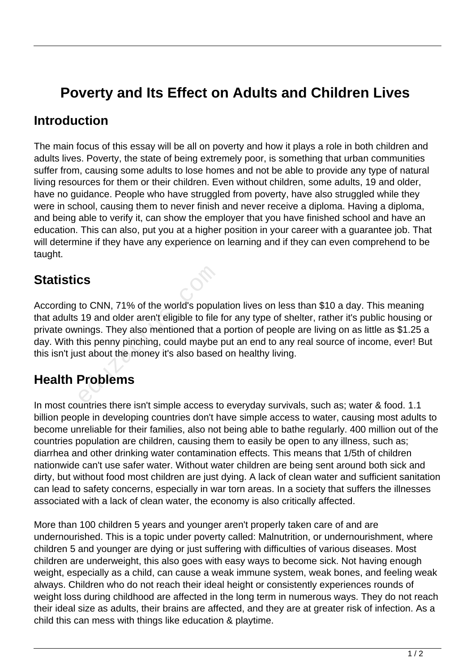# **Poverty and Its Effect on Adults and Children Lives**

#### **Introduction**

The main focus of this essay will be all on poverty and how it plays a role in both children and adults lives. Poverty, the state of being extremely poor, is something that urban communities suffer from, causing some adults to lose homes and not be able to provide any type of natural living resources for them or their children. Even without children, some adults, 19 and older, have no guidance. People who have struggled from poverty, have also struggled while they were in school, causing them to never finish and never receive a diploma. Having a diploma, and being able to verify it, can show the employer that you have finished school and have an education. This can also, put you at a higher position in your career with a guarantee job. That will determine if they have any experience on learning and if they can even comprehend to be taught.

#### **Statistics**

According to CNN, 71% of the world's population lives on less than \$10 a day. This meaning that adults 19 and older aren't eligible to file for any type of shelter, rather it's public housing or private ownings. They also mentioned that a portion of people are living on as little as \$1.25 a day. With this penny pinching, could maybe put an end to any real source of income, ever! But this isn't just about the money it's also based on healthy living. cs<br>to CNN, 71% of the world's popul<br>19 and older aren't eligible to file<br>nings. They also mentioned that a<br>this penny pinching, could maybe<br>st about the money it's also based<br>**Problems** 

## **Health Problems**

In most countries there isn't simple access to everyday survivals, such as; water & food. 1.1 billion people in developing countries don't have simple access to water, causing most adults to become unreliable for their families, also not being able to bathe regularly. 400 million out of the countries population are children, causing them to easily be open to any illness, such as; diarrhea and other drinking water contamination effects. This means that 1/5th of children nationwide can't use safer water. Without water children are being sent around both sick and dirty, but without food most children are just dying. A lack of clean water and sufficient sanitation can lead to safety concerns, especially in war torn areas. In a society that suffers the illnesses associated with a lack of clean water, the economy is also critically affected.

More than 100 children 5 years and younger aren't properly taken care of and are undernourished. This is a topic under poverty called: Malnutrition, or undernourishment, where children 5 and younger are dying or just suffering with difficulties of various diseases. Most children are underweight, this also goes with easy ways to become sick. Not having enough weight, especially as a child, can cause a weak immune system, weak bones, and feeling weak always. Children who do not reach their ideal height or consistently experiences rounds of weight loss during childhood are affected in the long term in numerous ways. They do not reach their ideal size as adults, their brains are affected, and they are at greater risk of infection. As a child this can mess with things like education & playtime.